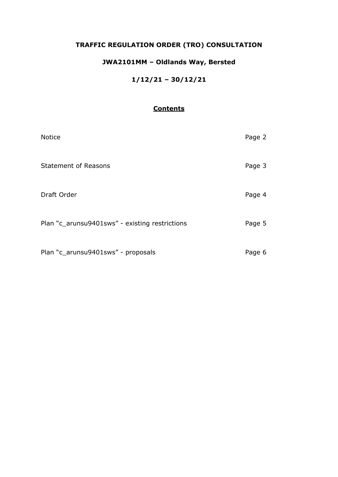# **TRAFFIC REGULATION ORDER (TRO) CONSULTATION**

# **JWA2101MM – Oldlands Way, Bersted**

# **1/12/21 – 30/12/21**

# **Contents**

| <b>Notice</b>                                  | Page 2 |
|------------------------------------------------|--------|
| <b>Statement of Reasons</b>                    | Page 3 |
| Draft Order                                    | Page 4 |
| Plan "c_arunsu9401sws" - existing restrictions | Page 5 |
| Plan "c_arunsu9401sws" - proposals             | Page 6 |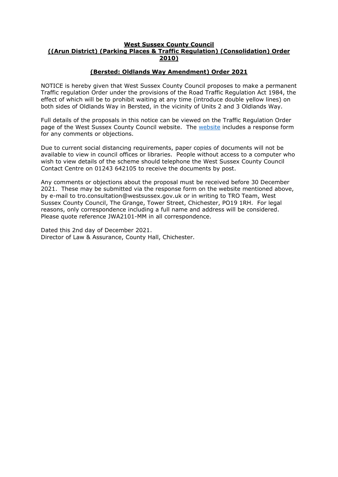#### **West Sussex County Council ((Arun District) (Parking Places & Traffic Regulation) (Consolidation) Order 2010)**

### **(Bersted: Oldlands Way Amendment) Order 2021**

NOTICE is hereby given that West Sussex County Council proposes to make a permanent Traffic regulation Order under the provisions of the Road Traffic Regulation Act 1984, the effect of which will be to prohibit waiting at any time (introduce double yellow lines) on both sides of Oldlands Way in Bersted, in the vicinity of Units 2 and 3 Oldlands Way.

Full details of the proposals in this notice can be viewed on the Traffic Regulation Order page of the West Sussex County Council [website](https://www.westsussex.gov.uk/roads-and-travel/traffic-regulation-orders/). The website includes a response form for any comments or objections.

Due to current social distancing requirements, paper copies of documents will not be available to view in council offices or libraries. People without access to a computer who wish to view details of the scheme should telephone the West Sussex County Council Contact Centre on 01243 642105 to receive the documents by post.

Any comments or objections about the proposal must be received before 30 December 2021. These may be submitted via the response form on the website mentioned above, by e-mail to tro.consultation@westsussex.gov.uk or in writing to TRO Team, West Sussex County Council, The Grange, Tower Street, Chichester, PO19 1RH. For legal reasons, only correspondence including a full name and address will be considered. Please quote reference JWA2101-MM in all correspondence.

Dated this 2nd day of December 2021. Director of Law & Assurance, County Hall, Chichester.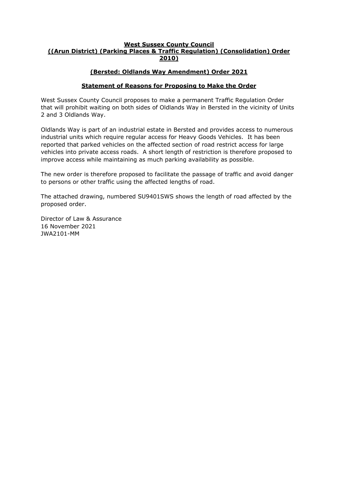#### **West Sussex County Council ((Arun District) (Parking Places & Traffic Regulation) (Consolidation) Order 2010)**

## **(Bersted: Oldlands Way Amendment) Order 2021**

## **Statement of Reasons for Proposing to Make the Order**

West Sussex County Council proposes to make a permanent Traffic Regulation Order that will prohibit waiting on both sides of Oldlands Way in Bersted in the vicinity of Units 2 and 3 Oldlands Way.

Oldlands Way is part of an industrial estate in Bersted and provides access to numerous industrial units which require regular access for Heavy Goods Vehicles. It has been reported that parked vehicles on the affected section of road restrict access for large vehicles into private access roads. A short length of restriction is therefore proposed to improve access while maintaining as much parking availability as possible.

The new order is therefore proposed to facilitate the passage of traffic and avoid danger to persons or other traffic using the affected lengths of road.

The attached drawing, numbered SU9401SWS shows the length of road affected by the proposed order.

Director of Law & Assurance 16 November 2021 JWA2101-MM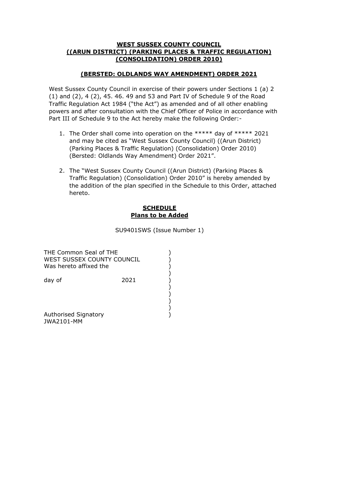#### **WEST SUSSEX COUNTY COUNCIL ((ARUN DISTRICT) (PARKING PLACES & TRAFFIC REGULATION) (CONSOLIDATION) ORDER 2010)**

## **(BERSTED: OLDLANDS WAY AMENDMENT) ORDER 2021**

West Sussex County Council in exercise of their powers under Sections 1 (a) 2 (1) and (2), 4 (2), 45. 46. 49 and 53 and Part IV of Schedule 9 of the Road Traffic Regulation Act 1984 ("the Act") as amended and of all other enabling powers and after consultation with the Chief Officer of Police in accordance with Part III of Schedule 9 to the Act hereby make the following Order:-

- 1. The Order shall come into operation on the \*\*\*\*\* day of \*\*\*\*\* 2021 and may be cited as "West Sussex County Council) ((Arun District) (Parking Places & Traffic Regulation) (Consolidation) Order 2010) (Bersted: Oldlands Way Amendment) Order 2021".
- 2. The "West Sussex County Council ((Arun District) (Parking Places & Traffic Regulation) (Consolidation) Order 2010" is hereby amended by the addition of the plan specified in the Schedule to this Order, attached hereto.

### **SCHEDULE Plans to be Added**

SU9401SWS (Issue Number 1)

) ) ) ) ) ) ) ) )  $\tilde{)}$ 

| THE Common Seal of THE<br>WEST SUSSEX COUNTY COUNCIL<br>Was hereto affixed the |      |
|--------------------------------------------------------------------------------|------|
| day of                                                                         | 2021 |
|                                                                                |      |
| Authorised Signatory<br>.                                                      |      |

JWA2101-MM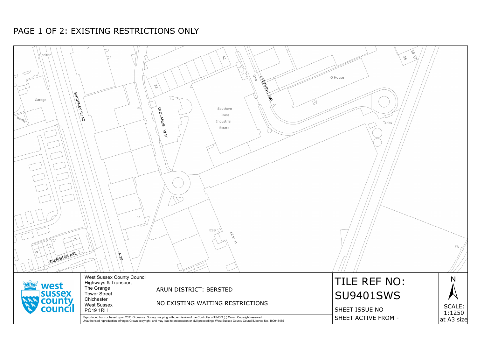| ∖Shelter<br><b>SHRIPNEY</b><br>Garage<br>$W_{O_{7k_{S}}},$<br>FRENSHAM AVE 1 | $\overleftrightarrow{ }$<br>$\leq$<br>$\sqrt{\frac{8}{5}}$<br>$\overline{\phantom{0}}$<br>$\blacktriangledown$<br>$\beta$ | $\approx$<br><b>Tark</b><br><b>STEMMER MAN</b><br>33<br>Southern<br><b>SONVIDO</b><br>Cross<br>Industrial<br>Estate<br>$\frac{1}{2}$<br>ESS<br>120077                                                                                                                                       | $\phi$<br><b>9</b><br>$\leq$<br>Q House<br>Tanks |
|------------------------------------------------------------------------------|---------------------------------------------------------------------------------------------------------------------------|---------------------------------------------------------------------------------------------------------------------------------------------------------------------------------------------------------------------------------------------------------------------------------------------|--------------------------------------------------|
| west<br><b>SUSSEX</b><br>county                                              | <b>West Sussex County Council</b><br>Highways & Transport<br>The Grange<br><b>Tower Street</b><br>Chichester              | ARUN DISTRICT: BERSTED<br>NO EXISTING WAITING RESTRICTIONS                                                                                                                                                                                                                                  | TILE REF NO:<br><b>SU9401SWS</b>                 |
| council                                                                      | <b>West Sussex</b><br><b>PO19 1RH</b>                                                                                     | Reproduced from or based upon 2021 Ordnance Survey mapping with permission of the Controller of HMSO (c) Crown Copyright reserved.<br>Unauthorised reproduction infringes Crown copyright and may lead to prosecution or civil proceedings West Sussex County Council Licence No. 100018485 | SHEET ISSUE NO<br>SHEET ACTIVE FROM -            |



# PAGE 1 OF 2: EXISTING RESTRICTIONS ONLY